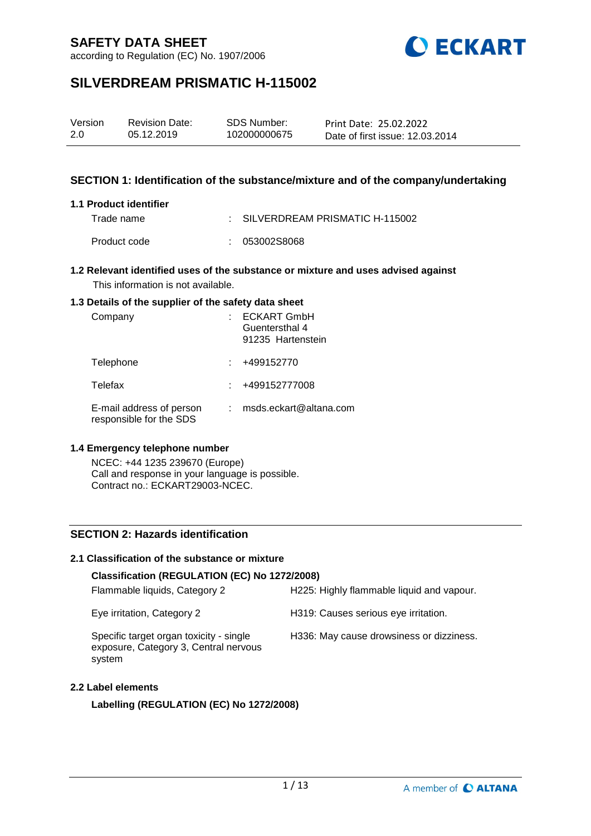according to Regulation (EC) No. 1907/2006



# **SILVERDREAM PRISMATIC H-115002**

| Version | <b>Revision Date:</b> | <b>SDS Number:</b> | Print Date: 25.02.2022          |
|---------|-----------------------|--------------------|---------------------------------|
| 2.0     | 05.12.2019            | 102000000675       | Date of first issue: 12.03.2014 |

### **SECTION 1: Identification of the substance/mixture and of the company/undertaking**

#### **1.1 Product identifier**

Trade name : SILVERDREAM PRISMATIC H-115002 Product code : 053002S8068

### **1.2 Relevant identified uses of the substance or mixture and uses advised against** This information is not available.

#### **1.3 Details of the supplier of the safety data sheet**

| Company                                             | <b>ECKART GmbH</b><br>Guentersthal 4<br>91235 Hartenstein |
|-----------------------------------------------------|-----------------------------------------------------------|
| Telephone                                           | +499152770                                                |
| Telefax                                             | +499152777008                                             |
| E-mail address of person<br>responsible for the SDS | msds.eckart@altana.com                                    |

### **1.4 Emergency telephone number**

NCEC: +44 1235 239670 (Europe) Call and response in your language is possible. Contract no.: ECKART29003-NCEC.

### **SECTION 2: Hazards identification**

### **2.1 Classification of the substance or mixture**

### **Classification (REGULATION (EC) No 1272/2008)**

| Flammable liquids, Category 2                                                              | H225: Highly flammable liquid and vapour. |
|--------------------------------------------------------------------------------------------|-------------------------------------------|
| Eye irritation, Category 2                                                                 | H319: Causes serious eye irritation.      |
| Specific target organ toxicity - single<br>exposure, Category 3, Central nervous<br>system | H336: May cause drowsiness or dizziness.  |

#### **2.2 Label elements**

**Labelling (REGULATION (EC) No 1272/2008)**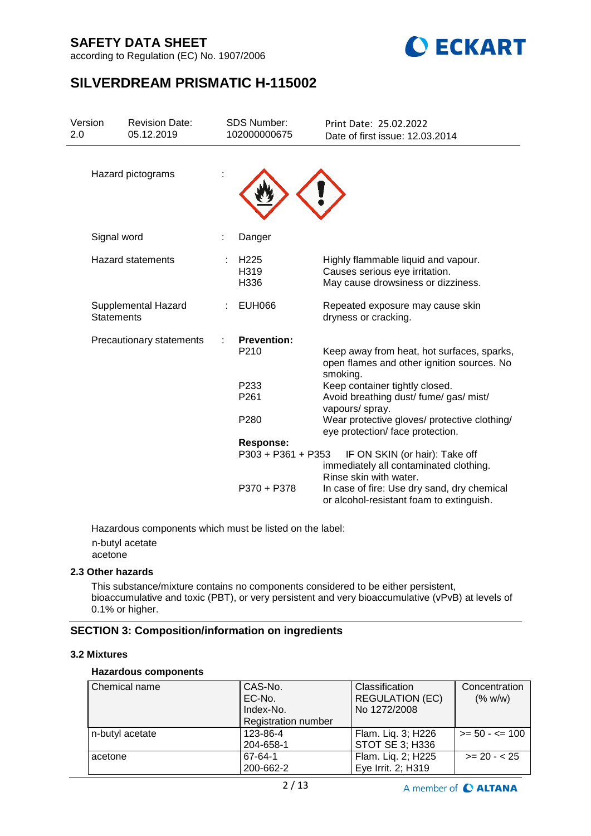according to Regulation (EC) No. 1907/2006



# **SILVERDREAM PRISMATIC H-115002**

| 2.0 | Version           | <b>Revision Date:</b><br>05.12.2019 | SDS Number:<br>102000000675            | Print Date: 25.02.2022<br>Date of first issue: 12.03.2014                                                   |
|-----|-------------------|-------------------------------------|----------------------------------------|-------------------------------------------------------------------------------------------------------------|
|     |                   | Hazard pictograms                   |                                        |                                                                                                             |
|     |                   | Signal word                         | Danger                                 |                                                                                                             |
|     |                   | <b>Hazard statements</b>            | H <sub>225</sub><br>H319<br>H336       | Highly flammable liquid and vapour.<br>Causes serious eye irritation.<br>May cause drowsiness or dizziness. |
|     | <b>Statements</b> | Supplemental Hazard                 | <b>EUH066</b>                          | Repeated exposure may cause skin<br>dryness or cracking.                                                    |
|     |                   | Precautionary statements            | <b>Prevention:</b><br>P <sub>210</sub> | Keep away from heat, hot surfaces, sparks,<br>open flames and other ignition sources. No<br>smoking.        |
|     |                   |                                     | P <sub>233</sub>                       | Keep container tightly closed.                                                                              |
|     |                   |                                     | P <sub>261</sub>                       | Avoid breathing dust/ fume/ gas/ mist/<br>vapours/ spray.                                                   |
|     |                   |                                     | P280                                   | Wear protective gloves/ protective clothing/<br>eye protection/ face protection.                            |
|     |                   |                                     | <b>Response:</b>                       |                                                                                                             |
|     |                   |                                     | P303 + P361 + P353                     | IF ON SKIN (or hair): Take off<br>immediately all contaminated clothing.<br>Rinse skin with water.          |
|     |                   |                                     | P370 + P378                            | In case of fire: Use dry sand, dry chemical<br>or alcohol-resistant foam to extinguish.                     |

Hazardous components which must be listed on the label: n-butyl acetate acetone

### **2.3 Other hazards**

This substance/mixture contains no components considered to be either persistent, bioaccumulative and toxic (PBT), or very persistent and very bioaccumulative (vPvB) at levels of 0.1% or higher.

### **SECTION 3: Composition/information on ingredients**

### **3.2 Mixtures**

### **Hazardous components**

| Chemical name   | CAS-No.<br>EC-No.<br>Index-No.<br>Registration number | l Classification<br><b>REGULATION (EC)</b><br>No 1272/2008 | Concentration<br>(% w/w) |
|-----------------|-------------------------------------------------------|------------------------------------------------------------|--------------------------|
| n-butyl acetate | 123-86-4<br>204-658-1                                 | Flam. Liq. 3; H226<br>STOT SE 3; H336                      | $>= 50 - 5 = 100$        |
| acetone         | 67-64-1                                               | Flam. Liq. 2; H225                                         | $>= 20 - 25$             |
|                 |                                                       |                                                            |                          |
|                 | 200-662-2                                             | Eye Irrit. 2; H319                                         |                          |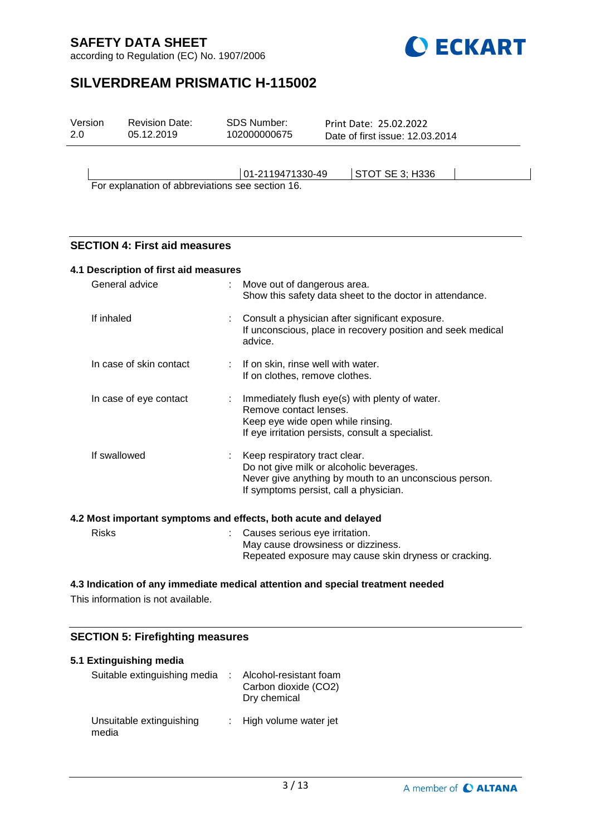according to Regulation (EC) No. 1907/2006



# **SILVERDREAM PRISMATIC H-115002**

| Version<br>2.0 | <b>Revision Date:</b><br>05.12.2019 | SDS Number:<br>102000000675                      | Print Date: 25.02.2022<br>Date of first issue: 12.03.2014 |  |
|----------------|-------------------------------------|--------------------------------------------------|-----------------------------------------------------------|--|
|                |                                     | 01-2119471330-49                                 | <b>STOT SE 3; H336</b>                                    |  |
|                |                                     | For explanation of abbreviations see section 16. |                                                           |  |

### **SECTION 4: First aid measures**

| 4.1 Description of first aid measures |                                                                                                                                                                                 |
|---------------------------------------|---------------------------------------------------------------------------------------------------------------------------------------------------------------------------------|
| General advice                        | Move out of dangerous area.<br>Show this safety data sheet to the doctor in attendance.                                                                                         |
| If inhaled                            | : Consult a physician after significant exposure.<br>If unconscious, place in recovery position and seek medical<br>advice.                                                     |
| In case of skin contact               | : If on skin, rinse well with water.<br>If on clothes, remove clothes.                                                                                                          |
| In case of eye contact                | : Immediately flush eye(s) with plenty of water.<br>Remove contact lenses.<br>Keep eye wide open while rinsing.<br>If eye irritation persists, consult a specialist.            |
| If swallowed                          | : Keep respiratory tract clear.<br>Do not give milk or alcoholic beverages.<br>Never give anything by mouth to an unconscious person.<br>If symptoms persist, call a physician. |
|                                       | 4.2 Most important symptoms and effects, both acute and delayed                                                                                                                 |
| <b>Risks</b>                          | Causes serious eye irritation.<br>May cause drowsiness or dizziness.                                                                                                            |

Repeated exposure may cause skin dryness or cracking.

### **4.3 Indication of any immediate medical attention and special treatment needed**

This information is not available.

### **SECTION 5: Firefighting measures**

| 5.1 Extinguishing media           |                                                                |
|-----------------------------------|----------------------------------------------------------------|
| Suitable extinguishing media      | Alcohol-resistant foam<br>Carbon dioxide (CO2)<br>Dry chemical |
| Unsuitable extinguishing<br>media | : High volume water jet                                        |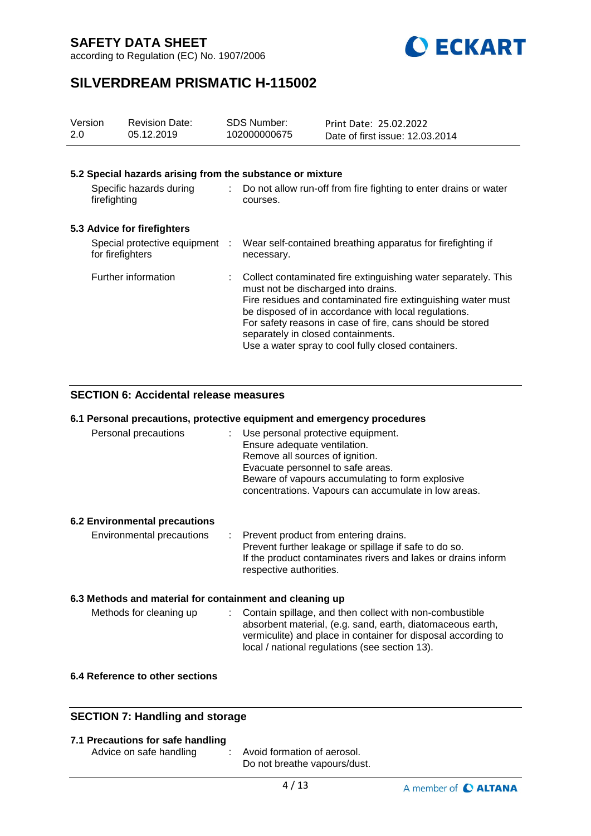according to Regulation (EC) No. 1907/2006



# **SILVERDREAM PRISMATIC H-115002**

| Version<br>2.0 | <b>Revision Date:</b><br>05.12.2019                       |    | <b>SDS Number:</b><br>102000000675                                        | Print Date: 25.02.2022<br>Date of first issue: 12.03.2014                                                                                                                                                                                                                                                 |
|----------------|-----------------------------------------------------------|----|---------------------------------------------------------------------------|-----------------------------------------------------------------------------------------------------------------------------------------------------------------------------------------------------------------------------------------------------------------------------------------------------------|
|                |                                                           |    |                                                                           |                                                                                                                                                                                                                                                                                                           |
|                | 5.2 Special hazards arising from the substance or mixture |    |                                                                           |                                                                                                                                                                                                                                                                                                           |
|                | Specific hazards during<br>firefighting                   | ÷. | courses.                                                                  | Do not allow run-off from fire fighting to enter drains or water                                                                                                                                                                                                                                          |
|                | 5.3 Advice for firefighters                               |    |                                                                           |                                                                                                                                                                                                                                                                                                           |
|                | Special protective equipment :<br>for firefighters        |    | necessary.                                                                | Wear self-contained breathing apparatus for firefighting if                                                                                                                                                                                                                                               |
|                | Further information                                       |    | must not be discharged into drains.<br>separately in closed containments. | Collect contaminated fire extinguishing water separately. This<br>Fire residues and contaminated fire extinguishing water must<br>be disposed of in accordance with local regulations.<br>For safety reasons in case of fire, cans should be stored<br>Use a water spray to cool fully closed containers. |

### **SECTION 6: Accidental release measures**

### **6.1 Personal precautions, protective equipment and emergency procedures**

| Personal precautions | : Use personal protective equipment.                 |
|----------------------|------------------------------------------------------|
|                      | Ensure adequate ventilation.                         |
|                      | Remove all sources of ignition.                      |
|                      | Evacuate personnel to safe areas.                    |
|                      | Beware of vapours accumulating to form explosive     |
|                      | concentrations. Vapours can accumulate in low areas. |

### **6.2 Environmental precautions**

| Environmental precautions | : Prevent product from entering drains.                       |
|---------------------------|---------------------------------------------------------------|
|                           | Prevent further leakage or spillage if safe to do so.         |
|                           | If the product contaminates rivers and lakes or drains inform |
|                           | respective authorities.                                       |

#### **6.3 Methods and material for containment and cleaning up**

| Methods for cleaning up | : Contain spillage, and then collect with non-combustible     |
|-------------------------|---------------------------------------------------------------|
|                         | absorbent material, (e.g. sand, earth, diatomaceous earth,    |
|                         | vermiculite) and place in container for disposal according to |
|                         | local / national regulations (see section 13).                |

### **6.4 Reference to other sections**

#### **SECTION 7: Handling and storage**

Advice on safe handling : Avoid formation of aerosol. Do not breathe vapours/dust.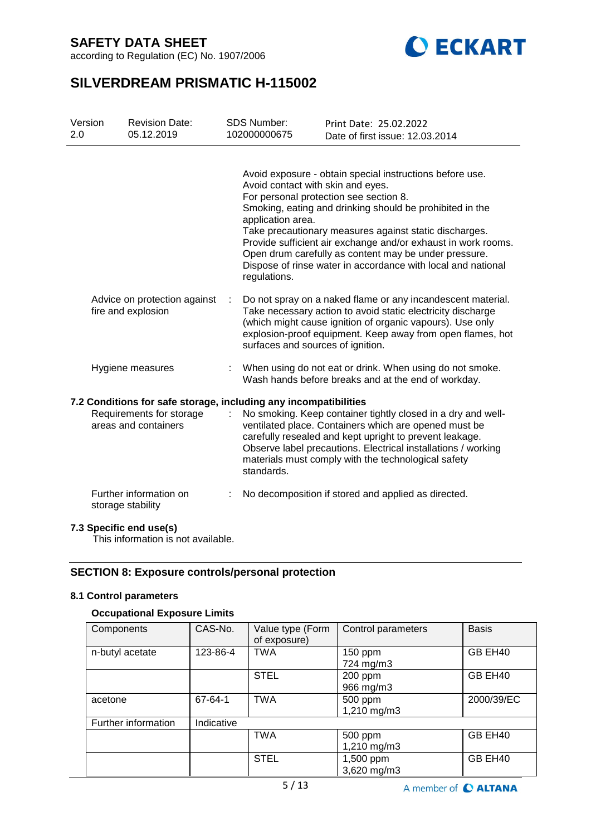according to Regulation (EC) No. 1907/2006



# **SILVERDREAM PRISMATIC H-115002**

| Version<br>2.0   |  | <b>Revision Date:</b><br>05.12.2019                                                                                  | <b>SDS Number:</b><br>102000000675                                     | Print Date: 25.02.2022<br>Date of first issue: 12.03.2014                                                                                                                                                                                                                                                                                                                                                          |
|------------------|--|----------------------------------------------------------------------------------------------------------------------|------------------------------------------------------------------------|--------------------------------------------------------------------------------------------------------------------------------------------------------------------------------------------------------------------------------------------------------------------------------------------------------------------------------------------------------------------------------------------------------------------|
|                  |  |                                                                                                                      | Avoid contact with skin and eyes.<br>application area.<br>regulations. | Avoid exposure - obtain special instructions before use.<br>For personal protection see section 8.<br>Smoking, eating and drinking should be prohibited in the<br>Take precautionary measures against static discharges.<br>Provide sufficient air exchange and/or exhaust in work rooms.<br>Open drum carefully as content may be under pressure.<br>Dispose of rinse water in accordance with local and national |
|                  |  | Advice on protection against<br>fire and explosion                                                                   | surfaces and sources of ignition.                                      | Do not spray on a naked flame or any incandescent material.<br>Take necessary action to avoid static electricity discharge<br>(which might cause ignition of organic vapours). Use only<br>explosion-proof equipment. Keep away from open flames, hot                                                                                                                                                              |
| Hygiene measures |  | When using do not eat or drink. When using do not smoke.<br>Wash hands before breaks and at the end of workday.      |                                                                        |                                                                                                                                                                                                                                                                                                                                                                                                                    |
|                  |  | 7.2 Conditions for safe storage, including any incompatibilities<br>Requirements for storage<br>areas and containers | standards.                                                             | No smoking. Keep container tightly closed in a dry and well-<br>ventilated place. Containers which are opened must be<br>carefully resealed and kept upright to prevent leakage.<br>Observe label precautions. Electrical installations / working<br>materials must comply with the technological safety                                                                                                           |
|                  |  | Further information on<br>storage stability                                                                          |                                                                        | No decomposition if stored and applied as directed.                                                                                                                                                                                                                                                                                                                                                                |

### **7.3 Specific end use(s)**

This information is not available.

### **SECTION 8: Exposure controls/personal protection**

### **8.1 Control parameters**

### **Occupational Exposure Limits**

| Components                        | CAS-No.  | Value type (Form<br>of exposure) | Control parameters              | <b>Basis</b> |
|-----------------------------------|----------|----------------------------------|---------------------------------|--------------|
| n-butyl acetate                   | 123-86-4 | <b>TWA</b>                       | GB EH40<br>150 ppm<br>724 mg/m3 |              |
|                                   |          | <b>STEL</b>                      | 200 ppm<br>966 mg/m3            | GB EH40      |
| acetone                           | 67-64-1  | <b>TWA</b>                       | 500 ppm<br>1,210 mg/m3          | 2000/39/EC   |
| Further information<br>Indicative |          |                                  |                                 |              |
|                                   |          | <b>TWA</b>                       | 500 ppm<br>1,210 mg/m3          | GB EH40      |
|                                   |          | <b>STEL</b>                      | 1,500 ppm<br>3,620 mg/m3        | GB EH40      |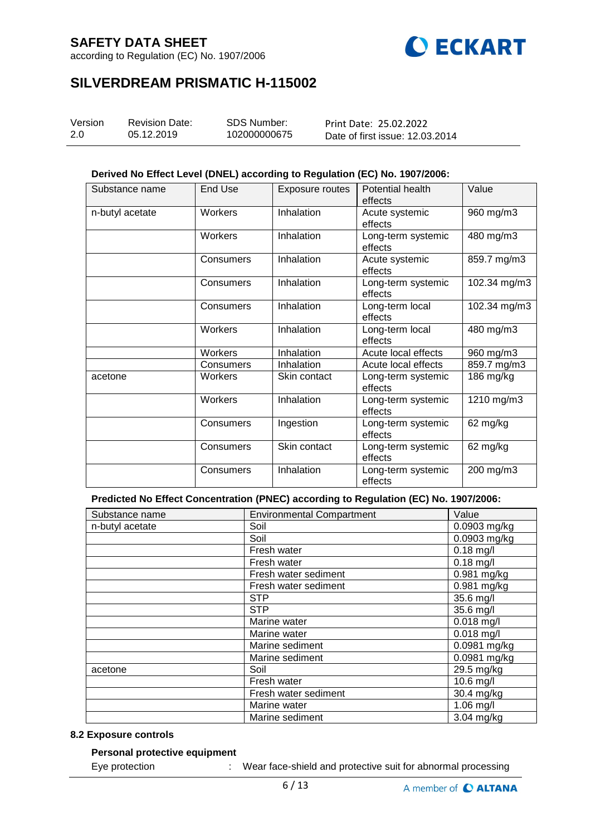according to Regulation (EC) No. 1907/2006



# **SILVERDREAM PRISMATIC H-115002**

| Version | <b>Revision Date:</b> | <b>SDS Number:</b> | Print Date: 25.02.2022          |
|---------|-----------------------|--------------------|---------------------------------|
| 2.0     | 05.12.2019            | 102000000675       | Date of first issue: 12.03.2014 |

#### **Derived No Effect Level (DNEL) according to Regulation (EC) No. 1907/2006:**

| Substance name  | <b>End Use</b> | Exposure routes | Potential health              | Value        |
|-----------------|----------------|-----------------|-------------------------------|--------------|
|                 |                |                 | effects                       |              |
| n-butyl acetate | Workers        | Inhalation      | Acute systemic<br>effects     | 960 mg/m3    |
|                 | Workers        | Inhalation      | Long-term systemic<br>effects | 480 mg/m3    |
|                 | Consumers      | Inhalation      | Acute systemic<br>effects     | 859.7 mg/m3  |
|                 | Consumers      | Inhalation      | Long-term systemic<br>effects | 102.34 mg/m3 |
|                 | Consumers      | Inhalation      | Long-term local<br>effects    | 102.34 mg/m3 |
|                 | Workers        | Inhalation      | Long-term local<br>effects    | 480 mg/m3    |
|                 | Workers        | Inhalation      | Acute local effects           | 960 mg/m3    |
|                 | Consumers      | Inhalation      | Acute local effects           | 859.7 mg/m3  |
| acetone         | Workers        | Skin contact    | Long-term systemic<br>effects | 186 mg/kg    |
|                 | Workers        | Inhalation      | Long-term systemic<br>effects | 1210 mg/m3   |
|                 | Consumers      | Ingestion       | Long-term systemic<br>effects | 62 mg/kg     |
|                 | Consumers      | Skin contact    | Long-term systemic<br>effects | 62 mg/kg     |
|                 | Consumers      | Inhalation      | Long-term systemic<br>effects | 200 mg/m3    |

**Predicted No Effect Concentration (PNEC) according to Regulation (EC) No. 1907/2006:**

| Substance name  | <b>Environmental Compartment</b> | Value        |
|-----------------|----------------------------------|--------------|
| n-butyl acetate | Soil                             | 0.0903 mg/kg |
|                 | Soil                             | 0.0903 mg/kg |
|                 | Fresh water                      | $0.18$ mg/l  |
|                 | Fresh water                      | $0.18$ mg/l  |
|                 | Fresh water sediment             | 0.981 mg/kg  |
|                 | Fresh water sediment             | 0.981 mg/kg  |
|                 | <b>STP</b>                       | 35.6 mg/l    |
|                 | <b>STP</b>                       | 35.6 mg/l    |
|                 | Marine water                     | $0.018$ mg/l |
|                 | Marine water                     | $0.018$ mg/l |
|                 | Marine sediment                  | 0.0981 mg/kg |
|                 | Marine sediment                  | 0.0981 mg/kg |
| acetone         | Soil                             | 29.5 mg/kg   |
|                 | Fresh water                      | 10.6 mg/l    |
|                 | Fresh water sediment             | $30.4$ mg/kg |
|                 | Marine water                     | 1.06 mg/l    |
|                 | Marine sediment                  | 3.04 mg/kg   |

### **8.2 Exposure controls**

#### **Personal protective equipment**

Eye protection : Wear face-shield and protective suit for abnormal processing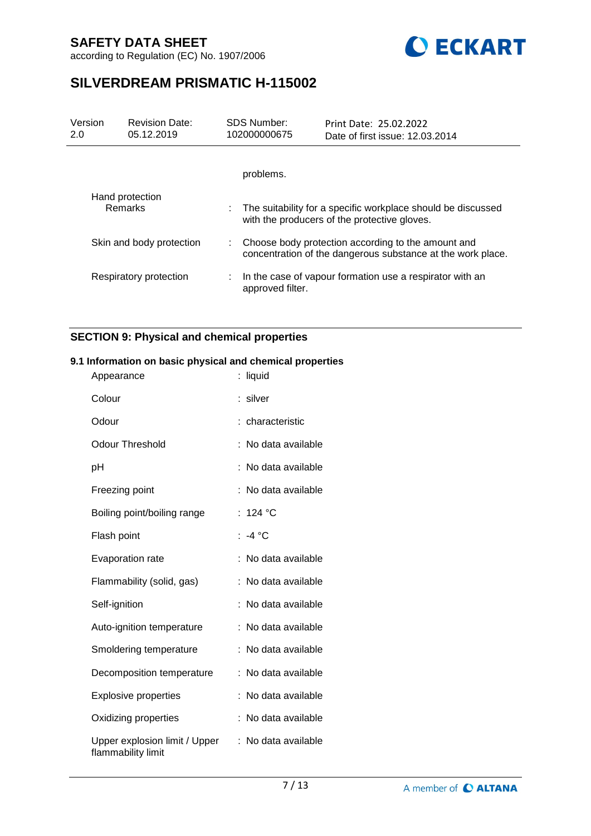according to Regulation (EC) No. 1907/2006



# **SILVERDREAM PRISMATIC H-115002**

| Version<br>2.0 | <b>Revision Date:</b><br>05.12.2019 |    | <b>SDS Number:</b><br>102000000675 | Print Date: 25.02.2022<br>Date of first issue: 12.03.2014                                                         |
|----------------|-------------------------------------|----|------------------------------------|-------------------------------------------------------------------------------------------------------------------|
|                |                                     |    | problems.                          |                                                                                                                   |
|                | Hand protection<br><b>Remarks</b>   | ÷. |                                    | The suitability for a specific workplace should be discussed<br>with the producers of the protective gloves.      |
|                | Skin and body protection            | ÷. |                                    | Choose body protection according to the amount and<br>concentration of the dangerous substance at the work place. |
|                | Respiratory protection              | ÷. | approved filter.                   | In the case of vapour formation use a respirator with an                                                          |

### **SECTION 9: Physical and chemical properties**

### **9.1 Information on basic physical and chemical properties**

| Appearance                                          | : liquid          |
|-----------------------------------------------------|-------------------|
| Colour                                              | silver            |
| Odour                                               | characteristic    |
| Odour Threshold                                     | No data available |
| рH                                                  | No data available |
| Freezing point                                      | No data available |
| Boiling point/boiling range                         | :124 °C           |
| Flash point                                         | $: -4 °C$         |
| <b>Evaporation rate</b>                             | No data available |
| Flammability (solid, gas)                           | No data available |
| Self-ignition                                       | No data available |
| Auto-ignition temperature                           | No data available |
| Smoldering temperature                              | No data available |
| Decomposition temperature                           | No data available |
| <b>Explosive properties</b>                         | No data available |
| Oxidizing properties                                | No data available |
| Upper explosion limit / Upper<br>flammability limit | No data available |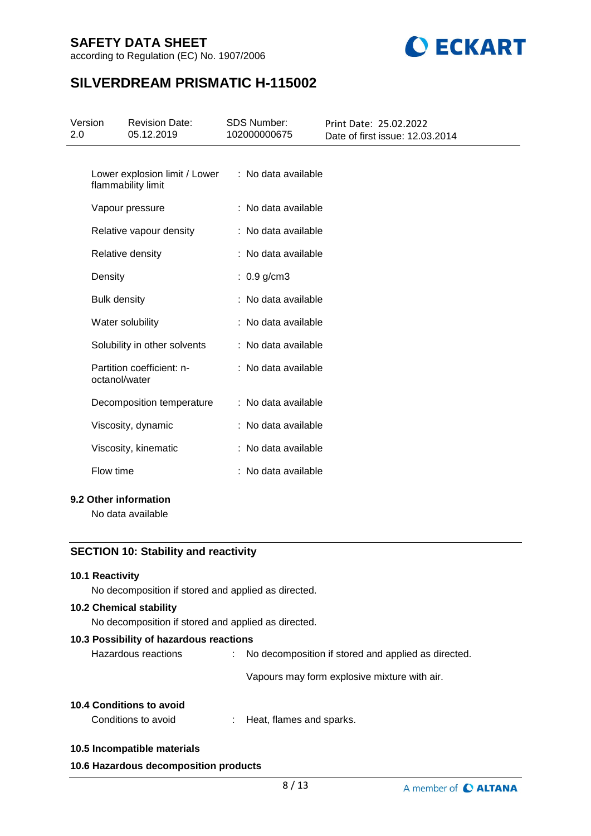according to Regulation (EC) No. 1907/2006



# **SILVERDREAM PRISMATIC H-115002**

| Version<br>2.0 |                     | <b>Revision Date:</b><br>05.12.2019                 | <b>SDS Number:</b><br>102000000675 | Print Date: 25.02.2022<br>Date of first issue: 12.03.2014 |
|----------------|---------------------|-----------------------------------------------------|------------------------------------|-----------------------------------------------------------|
|                |                     | Lower explosion limit / Lower<br>flammability limit | : No data available                |                                                           |
|                |                     | Vapour pressure                                     | : No data available                |                                                           |
|                |                     | Relative vapour density                             | : No data available                |                                                           |
|                |                     | Relative density                                    | : No data available                |                                                           |
|                | Density             |                                                     | $: 0.9$ g/cm3                      |                                                           |
|                | <b>Bulk density</b> |                                                     | : No data available                |                                                           |
|                |                     | Water solubility                                    | : No data available                |                                                           |
|                |                     | Solubility in other solvents                        | : No data available                |                                                           |
|                | octanol/water       | Partition coefficient: n-                           | : No data available                |                                                           |
|                |                     | Decomposition temperature                           | : No data available                |                                                           |
|                |                     | Viscosity, dynamic                                  | : No data available                |                                                           |
|                |                     | Viscosity, kinematic                                | : No data available                |                                                           |
|                | Flow time           |                                                     | : No data available                |                                                           |
|                |                     | 9.2 Other information                               |                                    |                                                           |
|                |                     | No data available                                   |                                    |                                                           |
|                |                     |                                                     |                                    |                                                           |
|                |                     | <b>SECTION 10: Stability and reactivity</b>         |                                    |                                                           |
|                | 10.1 Reactivity     |                                                     |                                    |                                                           |

No decomposition if stored and applied as directed.

### **10.2 Chemical stability**

No decomposition if stored and applied as directed.

#### **10.3 Possibility of hazardous reactions**

Hazardous reactions : No decomposition if stored and applied as directed.

Vapours may form explosive mixture with air.

#### **10.4 Conditions to avoid**

Conditions to avoid : Heat, flames and sparks.

#### **10.5 Incompatible materials**

#### **10.6 Hazardous decomposition products**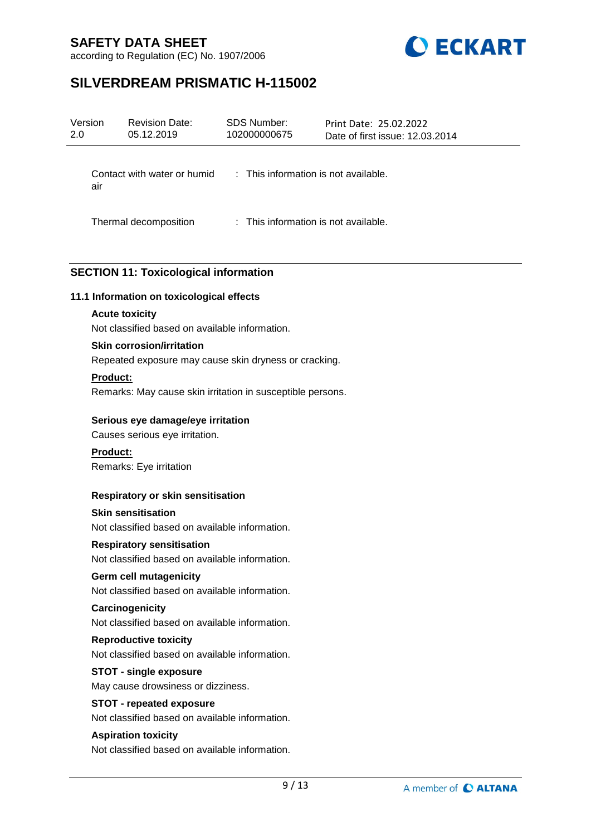according to Regulation (EC) No. 1907/2006



# **SILVERDREAM PRISMATIC H-115002**

| 2.0 | Version | <b>Revision Date:</b><br>05.12.2019 | <b>SDS Number:</b><br>102000000675       | Print Date: 25.02.2022<br>Date of first issue: 12.03.2014 |
|-----|---------|-------------------------------------|------------------------------------------|-----------------------------------------------------------|
|     | air     | Contact with water or humid         | $\pm$ This information is not available. |                                                           |
|     |         | Thermal decomposition               | : This information is not available.     |                                                           |
|     |         |                                     |                                          |                                                           |

### **SECTION 11: Toxicological information**

### **11.1 Information on toxicological effects**

### **Acute toxicity**

Not classified based on available information.

### **Skin corrosion/irritation**

Repeated exposure may cause skin dryness or cracking.

#### **Product:**

Remarks: May cause skin irritation in susceptible persons.

### **Serious eye damage/eye irritation**

Causes serious eye irritation.

# **Product:**

Remarks: Eye irritation

### **Respiratory or skin sensitisation**

**Skin sensitisation** Not classified based on available information.

#### **Respiratory sensitisation**

Not classified based on available information.

### **Germ cell mutagenicity**

Not classified based on available information.

### **Carcinogenicity** Not classified based on available information.

### **Reproductive toxicity**

Not classified based on available information.

### **STOT - single exposure**

May cause drowsiness or dizziness.

### **STOT - repeated exposure**

Not classified based on available information.

### **Aspiration toxicity**

Not classified based on available information.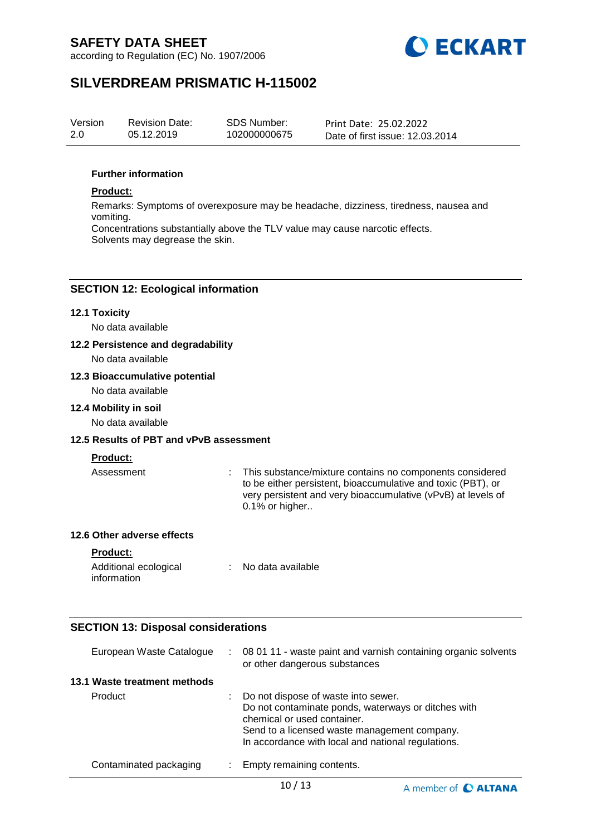according to Regulation (EC) No. 1907/2006



# **SILVERDREAM PRISMATIC H-115002**

| Version | <b>Revision Date:</b> | SDS Number:  | Print Date: 25.02.2022          |
|---------|-----------------------|--------------|---------------------------------|
| 2.0     | 05.12.2019            | 102000000675 | Date of first issue: 12.03.2014 |

### **Further information**

### **Product:**

Remarks: Symptoms of overexposure may be headache, dizziness, tiredness, nausea and vomiting. Concentrations substantially above the TLV value may cause narcotic effects.

Solvents may degrease the skin.

### **SECTION 12: Ecological information**

#### **12.1 Toxicity**

No data available

### **12.2 Persistence and degradability**

No data available

#### **12.3 Bioaccumulative potential**

No data available

#### **12.4 Mobility in soil**

No data available

### **12.5 Results of PBT and vPvB assessment**

#### **Product:**

Assessment : This substance/mixture contains no components considered to be either persistent, bioaccumulative and toxic (PBT), or very persistent and very bioaccumulative (vPvB) at levels of 0.1% or higher..

### **12.6 Other adverse effects**

### **Product:**

| Additional ecological | No data available |
|-----------------------|-------------------|
| information           |                   |

### **SECTION 13: Disposal considerations**

| European Waste Catalogue     | t. | 08 01 11 - waste paint and varnish containing organic solvents<br>or other dangerous substances                                                                                                                                 |
|------------------------------|----|---------------------------------------------------------------------------------------------------------------------------------------------------------------------------------------------------------------------------------|
| 13.1 Waste treatment methods |    |                                                                                                                                                                                                                                 |
| Product                      |    | Do not dispose of waste into sewer.<br>Do not contaminate ponds, waterways or ditches with<br>chemical or used container.<br>Send to a licensed waste management company.<br>In accordance with local and national regulations. |
| Contaminated packaging       |    | Empty remaining contents.                                                                                                                                                                                                       |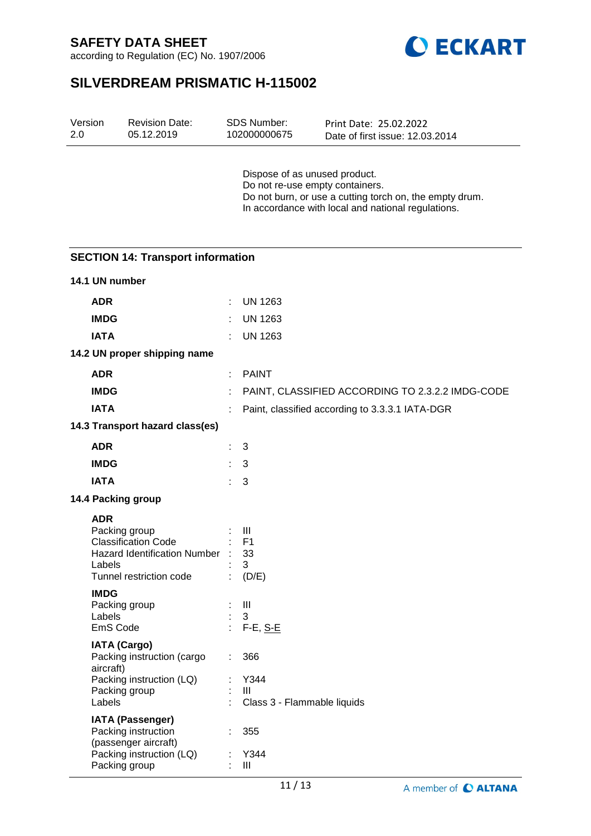



# **SILVERDREAM PRISMATIC H-115002**

| Version<br>2.0        | <b>Revision Date:</b><br>05.12.2019                                                                                | SDS Number:<br>102000000675                                                                                                                                                       | Print Date: 25.02.2022<br>Date of first issue: 12.03.2014 |  |
|-----------------------|--------------------------------------------------------------------------------------------------------------------|-----------------------------------------------------------------------------------------------------------------------------------------------------------------------------------|-----------------------------------------------------------|--|
|                       |                                                                                                                    | Dispose of as unused product.<br>Do not re-use empty containers.<br>Do not burn, or use a cutting torch on, the empty drum.<br>In accordance with local and national regulations. |                                                           |  |
|                       | <b>SECTION 14: Transport information</b>                                                                           |                                                                                                                                                                                   |                                                           |  |
| 14.1 UN number        |                                                                                                                    |                                                                                                                                                                                   |                                                           |  |
| <b>ADR</b>            |                                                                                                                    | <b>UN 1263</b>                                                                                                                                                                    |                                                           |  |
| <b>IMDG</b>           |                                                                                                                    | <b>UN 1263</b>                                                                                                                                                                    |                                                           |  |
| <b>IATA</b>           |                                                                                                                    | <b>UN 1263</b>                                                                                                                                                                    |                                                           |  |
|                       | 14.2 UN proper shipping name                                                                                       |                                                                                                                                                                                   |                                                           |  |
| <b>ADR</b>            |                                                                                                                    | <b>PAINT</b>                                                                                                                                                                      |                                                           |  |
| <b>IMDG</b>           |                                                                                                                    |                                                                                                                                                                                   | PAINT, CLASSIFIED ACCORDING TO 2.3.2.2 IMDG-CODE          |  |
| <b>IATA</b>           |                                                                                                                    |                                                                                                                                                                                   | Paint, classified according to 3.3.3.1 IATA-DGR           |  |
|                       | 14.3 Transport hazard class(es)                                                                                    |                                                                                                                                                                                   |                                                           |  |
| <b>ADR</b>            |                                                                                                                    | 3                                                                                                                                                                                 |                                                           |  |
| <b>IMDG</b>           |                                                                                                                    | 3                                                                                                                                                                                 |                                                           |  |
| <b>IATA</b>           |                                                                                                                    | 3                                                                                                                                                                                 |                                                           |  |
|                       | 14.4 Packing group                                                                                                 |                                                                                                                                                                                   |                                                           |  |
| <b>ADR</b>            | Packing group<br><b>Classification Code</b><br>Hazard Identification Number :<br>Labels<br>Tunnel restriction code | Ш<br>F <sub>1</sub><br>33<br>3<br>(D/E)                                                                                                                                           |                                                           |  |
| <b>IMDG</b><br>Labels | Packing group<br>EmS Code                                                                                          | Ш<br>3<br>: F-E, <u>S-E</u>                                                                                                                                                       |                                                           |  |
| aircraft)             | <b>IATA (Cargo)</b><br>Packing instruction (cargo                                                                  | 366                                                                                                                                                                               |                                                           |  |
| Labels                | Packing instruction (LQ)<br>Packing group                                                                          | Y344<br>Ш<br>Class 3 - Flammable liquids                                                                                                                                          |                                                           |  |
|                       | <b>IATA (Passenger)</b><br>Packing instruction<br>(passenger aircraft)                                             | 355                                                                                                                                                                               |                                                           |  |
|                       | Packing instruction (LQ)                                                                                           | Y344                                                                                                                                                                              |                                                           |  |

Packing group : III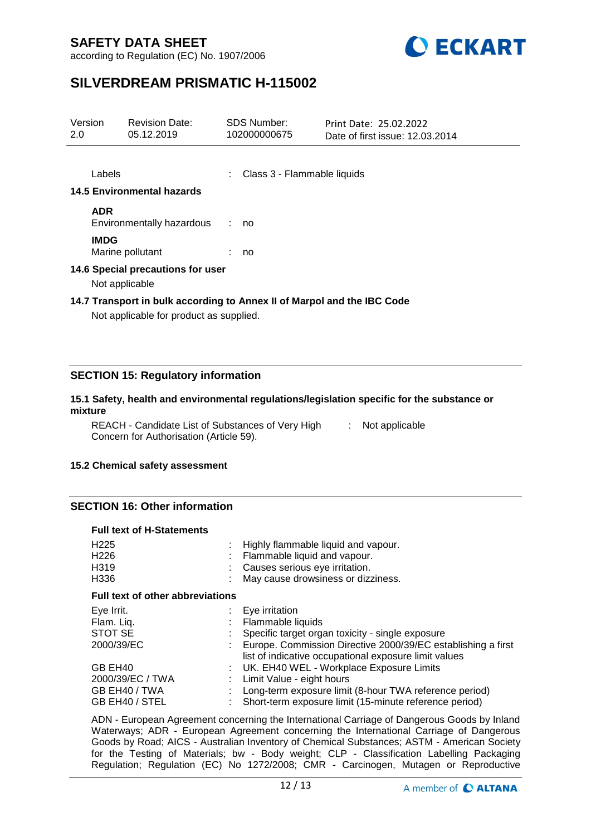according to Regulation (EC) No. 1907/2006



# **SILVERDREAM PRISMATIC H-115002**

| Version<br>2.0                                                                                                     |             | <b>Revision Date:</b><br>05.12.2019 |  | <b>SDS Number:</b><br>102000000675 | Print Date: 25.02.2022<br>Date of first issue: 12.03.2014 |  |
|--------------------------------------------------------------------------------------------------------------------|-------------|-------------------------------------|--|------------------------------------|-----------------------------------------------------------|--|
|                                                                                                                    | Labels      | 14.5 Environmental hazards          |  | : Class 3 - Flammable liquids      |                                                           |  |
|                                                                                                                    | <b>ADR</b>  | Environmentally hazardous : no      |  |                                    |                                                           |  |
|                                                                                                                    | <b>IMDG</b> | Marine pollutant                    |  | no                                 |                                                           |  |
| 14.6 Special precautions for user<br>Not applicable                                                                |             |                                     |  |                                    |                                                           |  |
| 14.7 Transport in bulk according to Annex II of Marpol and the IBC Code<br>Not applicable for product as supplied. |             |                                     |  |                                    |                                                           |  |

### **SECTION 15: Regulatory information**

#### **15.1 Safety, health and environmental regulations/legislation specific for the substance or mixture**

REACH - Candidate List of Substances of Very High [155] Not applicable Concern for Authorisation (Article 59).

### **15.2 Chemical safety assessment**

### **SECTION 16: Other information**

#### **Full text of H-Statements**

| H <sub>225</sub><br>H <sub>226</sub><br>H <sub>3</sub> 19<br>H336 |  | Highly flammable liquid and vapour.<br>Flammable liquid and vapour.<br>Causes serious eye irritation.<br>May cause drowsiness or dizziness. |  |  |  |
|-------------------------------------------------------------------|--|---------------------------------------------------------------------------------------------------------------------------------------------|--|--|--|
| <b>Full text of other abbreviations</b>                           |  |                                                                                                                                             |  |  |  |
| Eye Irrit.                                                        |  | Eye irritation                                                                                                                              |  |  |  |
| Flam. Liq.                                                        |  | Flammable liquids                                                                                                                           |  |  |  |
| STOT SE                                                           |  | Specific target organ toxicity - single exposure                                                                                            |  |  |  |
| 2000/39/EC                                                        |  | Europe. Commission Directive 2000/39/EC establishing a first                                                                                |  |  |  |
|                                                                   |  | list of indicative occupational exposure limit values                                                                                       |  |  |  |
| GB EH40                                                           |  | UK. EH40 WEL - Workplace Exposure Limits                                                                                                    |  |  |  |
| 2000/39/EC / TWA                                                  |  | Limit Value - eight hours                                                                                                                   |  |  |  |
| GB EH40 / TWA                                                     |  | Long-term exposure limit (8-hour TWA reference period)                                                                                      |  |  |  |
| GB EH40 / STEL                                                    |  | Short-term exposure limit (15-minute reference period)                                                                                      |  |  |  |

ADN - European Agreement concerning the International Carriage of Dangerous Goods by Inland Waterways; ADR - European Agreement concerning the International Carriage of Dangerous Goods by Road; AICS - Australian Inventory of Chemical Substances; ASTM - American Society for the Testing of Materials; bw - Body weight; CLP - Classification Labelling Packaging Regulation; Regulation (EC) No 1272/2008; CMR - Carcinogen, Mutagen or Reproductive